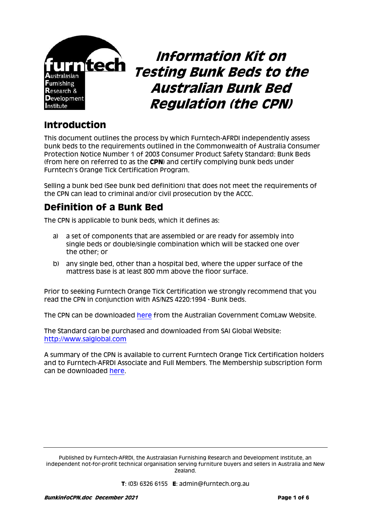

# **Introduction**

This document outlines the process by which Furntech-AFRDI independently assess bunk beds to the requirements outlined in the Commonwealth of Australia Consumer Protection Notice Number 1 of 2003 Consumer Product Safety Standard: Bunk Beds (from here on referred to as the **CPN**) and certify complying bunk beds under Furntech's Orange Tick Certification Program.

Selling a bunk bed (See bunk bed definition) that does not meet the requirements of the CPN can lead to criminal and/or civil prosecution by the ACCC.

## **Definition of a Bunk Bed**

The CPN is applicable to bunk beds, which it defines as:

- a) a set of components that are assembled or are ready for assembly into single beds or double/single combination which will be stacked one over the other; or
- b) any single bed, other than a hospital bed, where the upper surface of the mattress base is at least 800 mm above the floor surface.

Prior to seeking Furntech Orange Tick Certification we strongly recommend that you read the CPN in conjunction with AS/NZS 4220:1994 - Bunk beds.

The CPN can be downloaded [here](http://www.comlaw.gov.au/Details/F2005B01055/Download) from the Australian Government ComLaw Website.

The Standard can be purchased and downloaded from SAI Global Website: [http://www.saiglobal.com](http://www.saiglobal.com/) 

A summary of the CPN is available to current Furntech Orange Tick Certification holders and to Furntech-AFRDI Associate and Full Members. The Membership subscription form can be downloaded [here.](http://www.furntech.org.au/pdf/Corporate/MembershipInformation/Membform.pdf?&MMN_position=13:13)

Published by Furntech-AFRDI, the Australasian Furnishing Research and Development Institute, an independent not-for-profit technical organisation serving furniture buyers and sellers in Australia and New Zealand.

**T**: (03) 6326 6155 **E**: admin@furntech.org.au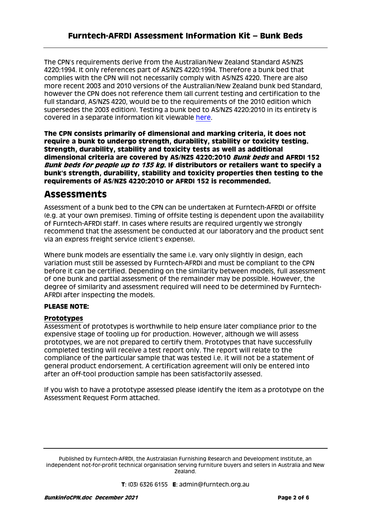The CPN's requirements derive from the Australian/New Zealand Standard AS/NZS 4220:1994. It only references part of AS/NZS 4220:1994. Therefore a bunk bed that complies with the CPN will not necessarily comply with AS/NZS 4220. There are also more recent 2003 and 2010 versions of the Australian/New Zealand bunk bed Standard, however the CPN does not reference them (all current testing and certification to the full standard, AS/NZS 4220, would be to the requirements of the 2010 edition which supersedes the 2003 edition). Testing a bunk bed to AS/NZS 4220:2010 in its entirety is covered in a separate information kit viewable [here.](http://www.furntech.org.au/pdf/ResidentialFurniture/BunkBeds/BunkinfoGeneral.pdf)

**The CPN consists primarily of dimensional and marking criteria, it does not require a bunk to undergo strength, durability, stability or toxicity testing. Strength, durability, stability and toxicity tests as well as additional dimensional criteria are covered by AS/NZS 4220:2010 Bunk beds and AFRDI 152 Bunk beds for people up to 135 kg. If distributors or retailers want to specify a bunk's strength, durability, stability and toxicity properties then testing to the requirements of AS/NZS 4220:2010 or AFRDI 152 is recommended.**

### **Assessments**

Assessment of a bunk bed to the CPN can be undertaken at Furntech-AFRDI or offsite (e.g. at your own premises). Timing of offsite testing is dependent upon the availability of Furntech-AFRDI staff. In cases where results are required urgently we strongly recommend that the assessment be conducted at our laboratory and the product sent via an express freight service (client's expense).

Where bunk models are essentially the same i.e. vary only slightly in design, each variation must still be assessed by Furntech-AFRDI and must be compliant to the CPN before it can be certified. Depending on the similarity between models, full assessment of one bunk and partial assessment of the remainder may be possible. However, the degree of similarity and assessment required will need to be determined by Furntech-AFRDI after inspecting the models.

#### **PLEASE NOTE:**

#### **Prototypes**

Assessment of prototypes is worthwhile to help ensure later compliance prior to the expensive stage of tooling up for production. However, although we will assess prototypes, we are not prepared to certify them. Prototypes that have successfully completed testing will receive a test report only. The report will relate to the compliance of the particular sample that was tested i.e. it will not be a statement of general product endorsement. A certification agreement will only be entered into after an off-tool production sample has been satisfactorily assessed.

If you wish to have a prototype assessed please identify the item as a prototype on the Assessment Request Form attached.

Published by Furntech-AFRDI, the Australasian Furnishing Research and Development Institute, an independent not-for-profit technical organisation serving furniture buyers and sellers in Australia and New Zealand.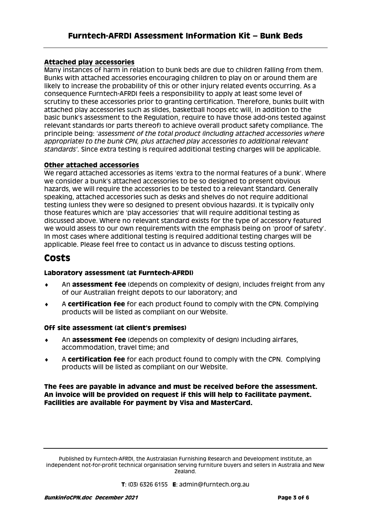#### **Attached play accessories**

Many instances of harm in relation to bunk beds are due to children falling from them. Bunks with attached accessories encouraging children to play on or around them are likely to increase the probability of this or other injury related events occurring. As a consequence Furntech-AFRDI feels a responsibility to apply at least some level of scrutiny to these accessories prior to granting certification. Therefore, bunks built with attached play accessories such as slides, basketball hoops etc will, in addition to the basic bunk's assessment to the Regulation, require to have those add-ons tested against relevant standards (or parts thereof) to achieve overall product safety compliance. The principle being: '*assessment of the total product (including attached accessories where appropriate) to the bunk CPN, plus attached play accessories to additional relevant standards'.* Since extra testing is required additional testing charges will be applicable.

#### **Other attached accessories**

We regard attached accessories as items 'extra to the normal features of a bunk'. Where we consider a bunk's attached accessories to be so designed to present obvious hazards, we will require the accessories to be tested to a relevant Standard. Generally speaking, attached accessories such as desks and shelves do not require additional testing (unless they were so designed to present obvious hazards). It is typically only those features which are 'play accessories' that will require additional testing as discussed above. Where no relevant standard exists for the type of accessory featured we would assess to our own requirements with the emphasis being on 'proof of safety'. In most cases where additional testing is required additional testing charges will be applicable. Please feel free to contact us in advance to discuss testing options.

### **Costs**

#### **Laboratory assessment (at Furntech-AFRDI)**

- An **assessment fee** (depends on complexity of design), includes freight from any of our Australian freight depots to our laboratory; and
- A **certification fee** for each product found to comply with the CPN. Complying products will be listed as compliant on our Website.

#### **Off site assessment (at client's premises)**

- An **assessment fee** (depends on complexity of design) including airfares, accommodation, travel time; and
- A **certification fee** for each product found to comply with the CPN. Complying products will be listed as compliant on our Website.

#### **The fees are payable in advance and must be received before the assessment. An invoice will be provided on request if this will help to facilitate payment. Facilities are available for payment by Visa and MasterCard.**

Published by Furntech-AFRDI, the Australasian Furnishing Research and Development Institute, an independent not-for-profit technical organisation serving furniture buyers and sellers in Australia and New Zealand.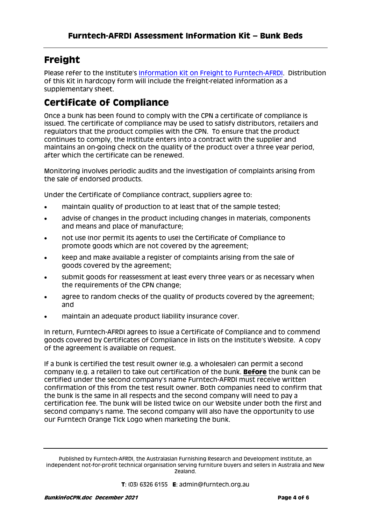# **Freight**

Please refer to the Institute's [Information Kit on Freight to Furntech-AFRDI.](http://furntech.org.au/pdf/index.php?dir=Corporate/&file=FreightInfo.pdf) Distribution of this Kit in hardcopy form will include the freight-related information as a supplementary sheet.

# **Certificate of Compliance**

Once a bunk has been found to comply with the CPN a certificate of compliance is issued. The certificate of compliance may be used to satisfy distributors, retailers and regulators that the product complies with the CPN. To ensure that the product continues to comply, the Institute enters into a contract with the supplier and maintains an on-going check on the quality of the product over a three year period, after which the certificate can be renewed.

Monitoring involves periodic audits and the investigation of complaints arising from the sale of endorsed products.

Under the Certificate of Compliance contract, suppliers agree to:

- maintain quality of production to at least that of the sample tested;
- advise of changes in the product including changes in materials, components and means and place of manufacture;
- not use (nor permit its agents to use) the Certificate of Compliance to promote goods which are not covered by the agreement;
- keep and make available a register of complaints arising from the sale of goods covered by the agreement;
- submit goods for reassessment at least every three years or as necessary when the requirements of the CPN change;
- agree to random checks of the quality of products covered by the agreement; and
- maintain an adequate product liability insurance cover.

In return, Furntech-AFRDI agrees to issue a Certificate of Compliance and to commend goods covered by Certificates of Compliance in lists on the Institute's Website. A copy of the agreement is available on request.

If a bunk is certified the test result owner (e.g. a wholesaler) can permit a second company (e.g. a retailer) to take out certification of the bunk. **Before** the bunk can be certified under the second company's name Furntech-AFRDI must receive written confirmation of this from the test result owner. Both companies need to confirm that the bunk is the same in all respects and the second company will need to pay a certification fee. The bunk will be listed twice on our Website under both the first and second company's name. The second company will also have the opportunity to use our Furntech Orange Tick Logo when marketing the bunk.

Published by Furntech-AFRDI, the Australasian Furnishing Research and Development Institute, an independent not-for-profit technical organisation serving furniture buyers and sellers in Australia and New Zealand.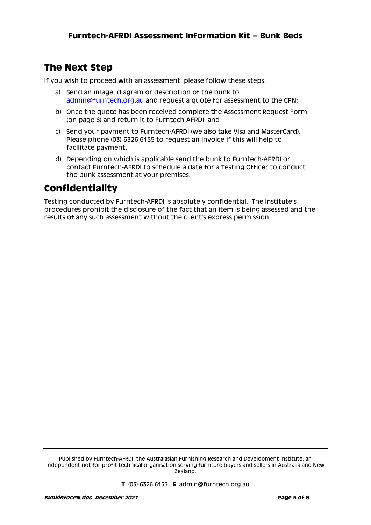## **The Next Step**

If you wish to proceed with an assessment, please follow these steps:

- a) Send an image, diagram or description of the bunk to [admin@furntech.org.au](mailto:admin@furntech.org.au) and request a quote for assessment to the CPN;
- b) Once the quote has been received complete the Assessment Request Form (on page 6) and return it to Furntech-AFRDI; and
- c) Send your payment to Furntech-AFRDI (we also take Visa and MasterCard). Please phone (03) 6326 6155 to request an invoice if this will help to facilitate payment.
- d) Depending on which is applicable send the bunk to Furntech-AFRDI or contact Furntech-AFRDI to schedule a date for a Testing Officer to conduct the bunk assessment at your premises.

# **Confidentiality**

Testing conducted by Furntech-AFRDI is absolutely confidential. The Institute's procedures prohibit the disclosure of the fact that an item is being assessed and the results of any such assessment without the client's express permission.

Published by Furntech-AFRDI, the Australasian Furnishing Research and Development Institute, an independent not-for-profit technical organisation serving furniture buyers and sellers in Australia and New Zealand.

**T**: (03) 6326 6155 **E**: admin@furntech.org.au